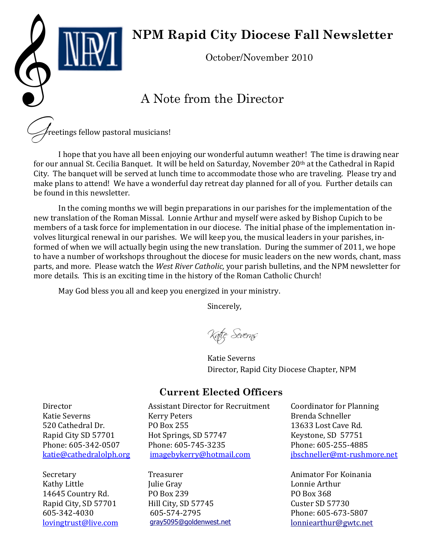# OCtober/November 2010

# **NPM Rapid City Diocese Fall Newsletter**

## A Note from the Director

reetings fellow pastoral musicians!

I hope that you have all been enjoying our wonderful autumn weather! The time is drawing near for our annual St. Cecilia Banquet. It will be held on Saturday, November 20th at the Cathedral in Rapid City. The banquet will be served at lunch time to accommodate those who are traveling. Please try and make plans to attend! We have a wonderful day retreat day planned for all of you. Further details can be found in this newsletter.

In the coming months we will begin preparations in our parishes for the implementation of the new translation of the Roman Missal. Lonnie Arthur and myself were asked by Bishop Cupich to be members of a task force for implementation in our diocese. The initial phase of the implementation involves liturgical renewal in our parishes. We will keep you, the musical leaders in your parishes, informed of when we will actually begin using the new translation. During the summer of 2011, we hope to have a number of workshops throughout the diocese for music leaders on the new words, chant, mass parts, and more. Please watch the *West River Catholic,* your parish bulletins, and the NPM newsletter for more details. This is an exciting time in the history of the Roman Catholic Church!

May God bless you all and keep you energized in your ministry.

Sincerely,

Kafiç Severns

Katie Severns Director, Rapid City Diocese Chapter, NPM

#### **Current Elected Officers**

Director Katie Severns 520 Cathedral Dr. Rapid City SD 57701 Phone: 605-342-0507 [katie@cathedralolph.org](mailto:katie@cathedralolph.org)

Secretary Kathy Little 14645 Country Rd. Rapid City, SD 57701 605-342-4030 [lovingtrust@live.com](mailto:lovingtrust@live.com) Assistant Director for Recruitment Kerry Peters PO Box 255 Hot Springs, SD 57747 Phone: 605-745-3235 [imagebykerry@hotmail.com](mailto:imagebykerry@hotmail.com)

Treasurer Julie Gray PO Box 239 Hill City, SD 57745 605-574-2795 [gray5095@goldenwest.net](mailto:gray5095@goldenwest.net) Coordinator for Planning Brenda Schneller 13633 Lost Cave Rd. Keystone, SD 57751 Phone: 605-255-4885 [jbschneller@mt-rushmore.net](mailto:jbschneller@mt-rushmore.net)

Animator For Koinania Lonnie Arthur PO Box 368 Custer SD 57730 Phone: 605-673-5807 [lonniearthur@gwtc.net](mailto:larthur@gwtc.net)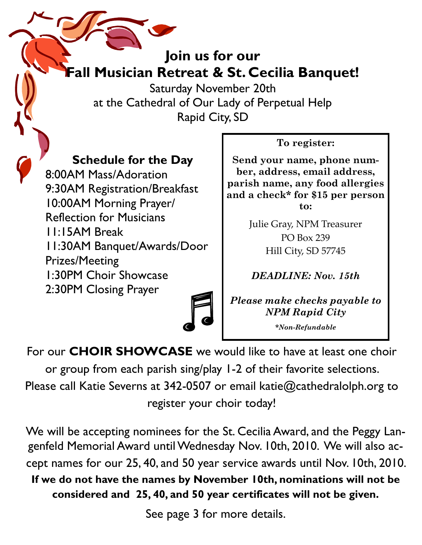# **Join us for our Fall Musician Retreat & St. Cecilia Banquet!**

Saturday November 20th at the Cathedral of Our Lady of Perpetual Help Rapid City, SD

#### **Schedule for the Day**

8:00AM Mass/Adoration 9:30AM Registration/Breakfast 10:00AM Morning Prayer/ Reflection for Musicians 11:15AM Break 11:30AM Banquet/Awards/Door Prizes/Meeting 1:30PM Choir Showcase 2:30PM Closing Prayer

#### **To register:**

**Send your name, phone number, address, email address, parish name, any food allergies and a check\* for \$15 per person to:**

> Julie Gray, NPM Treasurer PO Box 239 Hill City, SD 57745

*DEADLINE: Nov. 15th*

*Please make checks payable to NPM Rapid City*

*\*Non-Refundable*

For our **CHOIR SHOWCASE** we would like to have at least one choir or group from each parish sing/play 1-2 of their favorite selections. Please call Katie Severns at 342-0507 or email katie@cathedralolph.org to register your choir today!

We will be accepting nominees for the St. Cecilia Award, and the Peggy Langenfeld Memorial Award until Wednesday Nov. 10th, 2010. We will also accept names for our 25, 40, and 50 year service awards until Nov. 10th, 2010. **If we do not have the names by November 10th, nominations will not be considered and 25, 40, and 50 year certificates will not be given.**

See page 3 for more details.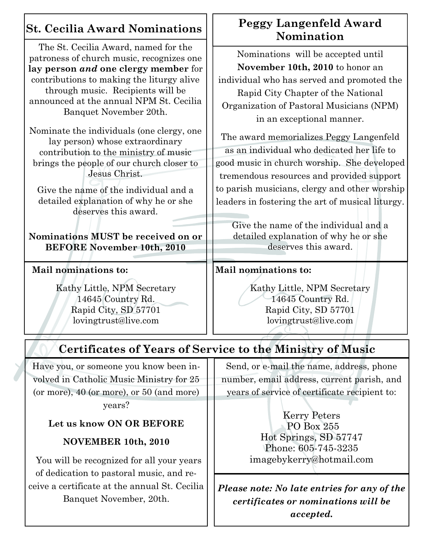### **St. Cecilia Award Nominations**

The St. Cecilia Award, named for the patroness of church music, recognizes one **lay person** *and* **one clergy member** for contributions to making the liturgy alive through music. Recipients will be announced at the annual NPM St. Cecilia Banquet November 20th.

Nominate the individuals (one clergy, one lay person) whose extraordinary contribution to the ministry of music brings the people of our church closer to Jesus Christ.

Give the name of the individual and a detailed explanation of why he or she deserves this award.

**Nominations MUST be received on or BEFORE November 10th, 2010**

#### **Mail nominations to:**

Kathy Little, NPM Secretary 14645 Country Rd. Rapid City, SD 57701 [lovingtrust@live.com](mailto:lovingtrust@live.com)

#### **Peggy Langenfeld Award Nomination**

Nominations will be accepted until **November 10th, 2010** to honor an individual who has served and promoted the Rapid City Chapter of the National Organization of Pastoral Musicians (NPM) in an exceptional manner.

The award memorializes Peggy Langenfeld as an individual who dedicated her life to good music in church worship. She developed tremendous resources and provided support to parish musicians, clergy and other worship leaders in fostering the art of musical liturgy.

Give the name of the individual and a detailed explanation of why he or she deserves this award.

#### **Mail nominations to:**

Kathy Little, NPM Secretary 14645 Country Rd. Rapid City, SD 57701 [lovingtrust@live.com](mailto:lovingtrust@live.com)

# **Certificates of Years of Service to the Ministry of Music**

Have you, or someone you know been involved in Catholic Music Ministry for 25 (or more), 40 (or more), or 50 (and more)

years?

#### **Let us know ON OR BEFORE**

#### **NOVEMBER 10th, 2010**

 You will be recognized for all your years of dedication to pastoral music, and receive a certificate at the annual St. Cecilia Banquet November, 20th.

Send, or e-mail the name, address, phone number, email address, current parish, and years of service of certificate recipient to:

> Kerry Peters PO Box 255 Hot Springs, SD 57747 Phone: 605-745-3235 [imagebykerry@hotmail.com](mailto:imagebykerry@hotmail.com)

*Please note: No late entries for any of the certificates or nominations will be accepted.*